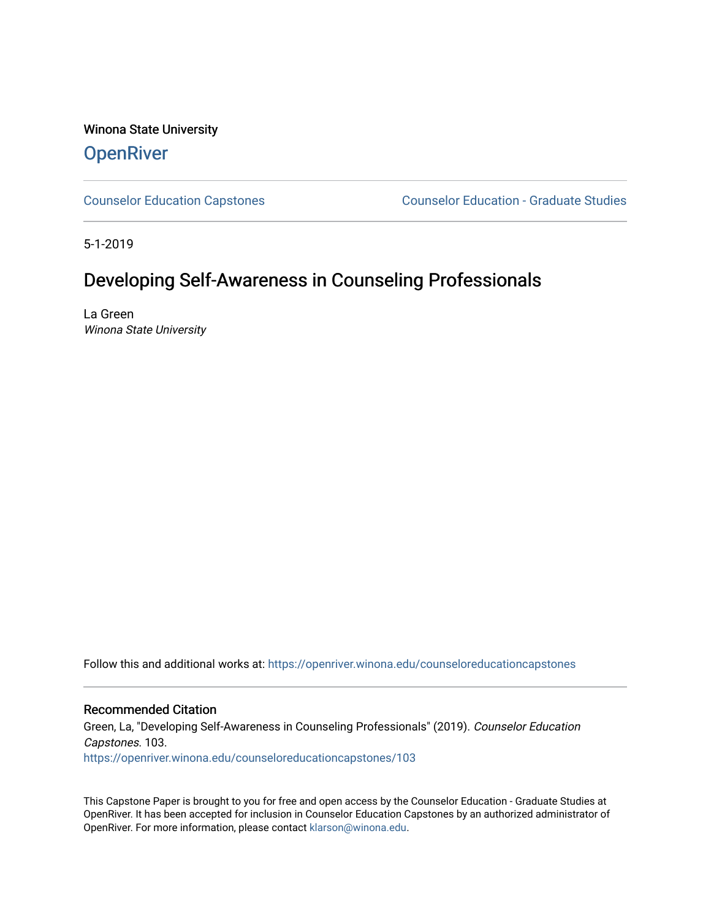Winona State University **OpenRiver** 

[Counselor Education Capstones](https://openriver.winona.edu/counseloreducationcapstones) [Counselor Education - Graduate Studies](https://openriver.winona.edu/counseloreducation) 

5-1-2019

# Developing Self-Awareness in Counseling Professionals

La Green Winona State University

Follow this and additional works at: [https://openriver.winona.edu/counseloreducationcapstones](https://openriver.winona.edu/counseloreducationcapstones?utm_source=openriver.winona.edu%2Fcounseloreducationcapstones%2F103&utm_medium=PDF&utm_campaign=PDFCoverPages)

# Recommended Citation

Green, La, "Developing Self-Awareness in Counseling Professionals" (2019). Counselor Education Capstones. 103.

[https://openriver.winona.edu/counseloreducationcapstones/103](https://openriver.winona.edu/counseloreducationcapstones/103?utm_source=openriver.winona.edu%2Fcounseloreducationcapstones%2F103&utm_medium=PDF&utm_campaign=PDFCoverPages)

This Capstone Paper is brought to you for free and open access by the Counselor Education - Graduate Studies at OpenRiver. It has been accepted for inclusion in Counselor Education Capstones by an authorized administrator of OpenRiver. For more information, please contact [klarson@winona.edu](mailto:klarson@winona.edu).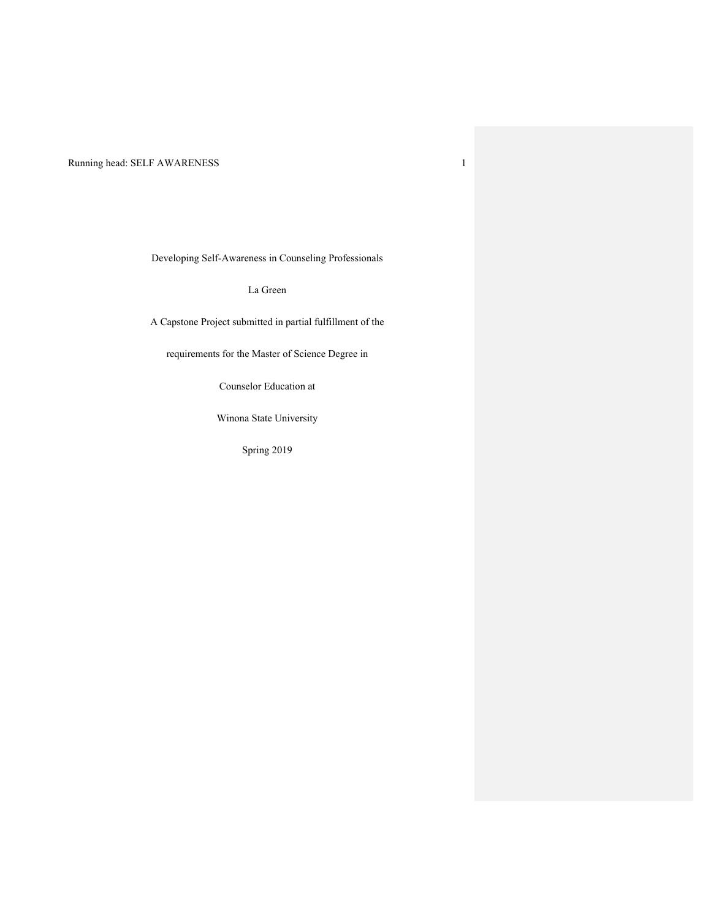Developing Self-Awareness in Counseling Professionals

La Green

A Capstone Project submitted in partial fulfillment of the

requirements for the Master of Science Degree in

Counselor Education at

Winona State University

Spring 2019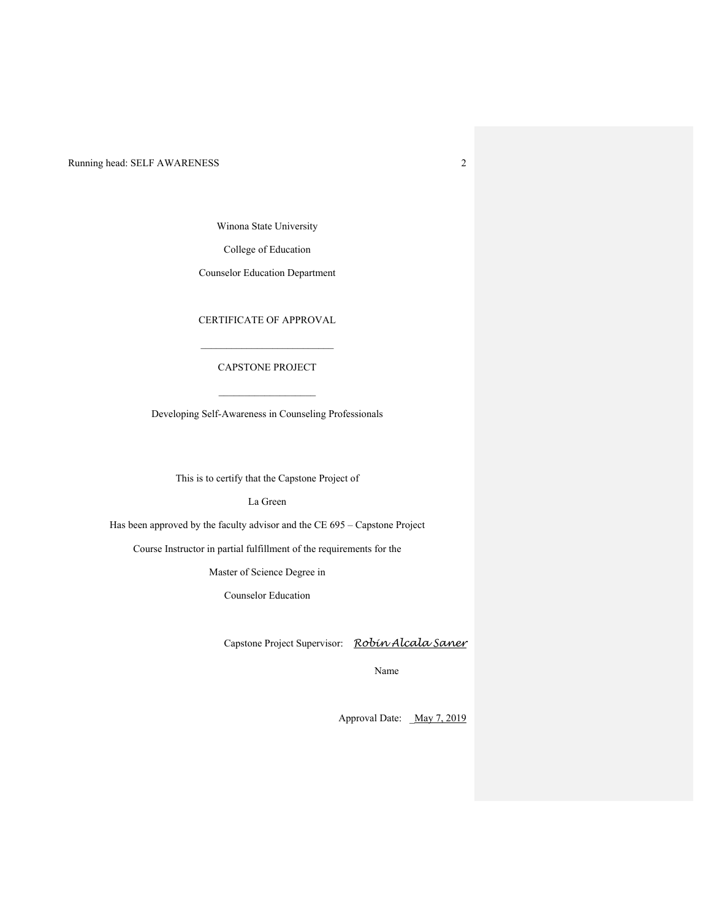Winona State University

College of Education

Counselor Education Department

CERTIFICATE OF APPROVAL

## CAPSTONE PROJECT

 $\mathcal{L}_\text{max}$ 

Developing Self-Awareness in Counseling Professionals

 $\_$ 

This is to certify that the Capstone Project of

La Green

Has been approved by the faculty advisor and the CE 695 – Capstone Project

Course Instructor in partial fulfillment of the requirements for the

Master of Science Degree in

Counselor Education

Capstone Project Supervisor: *Robin Alcala Saner*

Name

Approval Date: \_May 7, 2019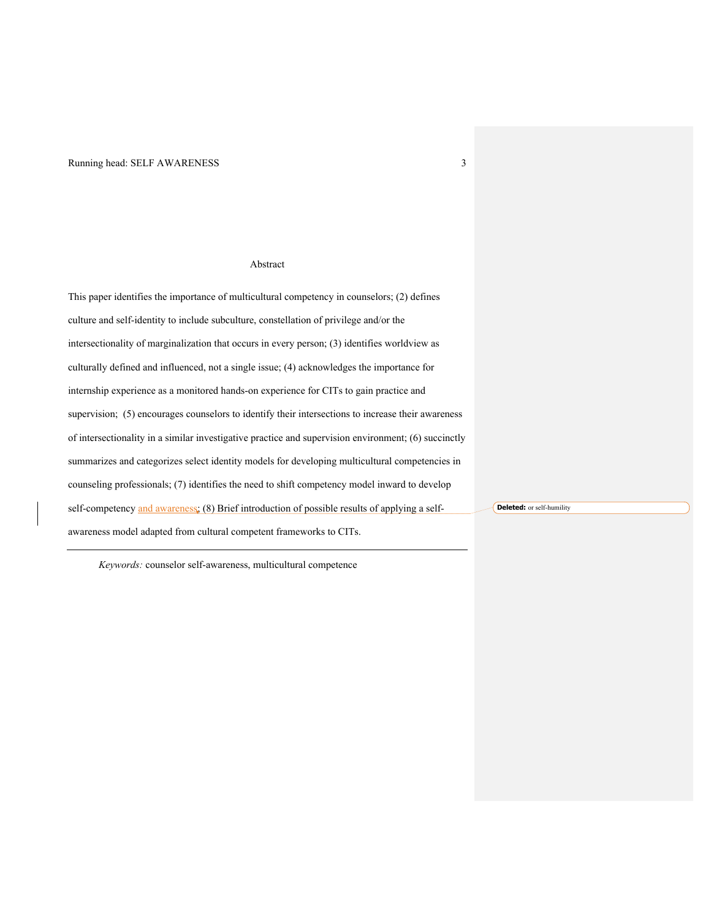## Abstract

This paper identifies the importance of multicultural competency in counselors; (2) defines culture and self-identity to include subculture, constellation of privilege and/or the intersectionality of marginalization that occurs in every person; (3) identifies worldview as culturally defined and influenced, not a single issue; (4) acknowledges the importance for internship experience as a monitored hands-on experience for CITs to gain practice and supervision; (5) encourages counselors to identify their intersections to increase their awareness of intersectionality in a similar investigative practice and supervision environment; (6) succinctly summarizes and categorizes select identity models for developing multicultural competencies in counseling professionals; (7) identifies the need to shift competency model inward to develop self-competency and awareness; (8) Brief introduction of possible results of applying a selfawareness model adapted from cultural competent frameworks to CITs. **Deleted:** or self-humility

*Keywords:* counselor self-awareness, multicultural competence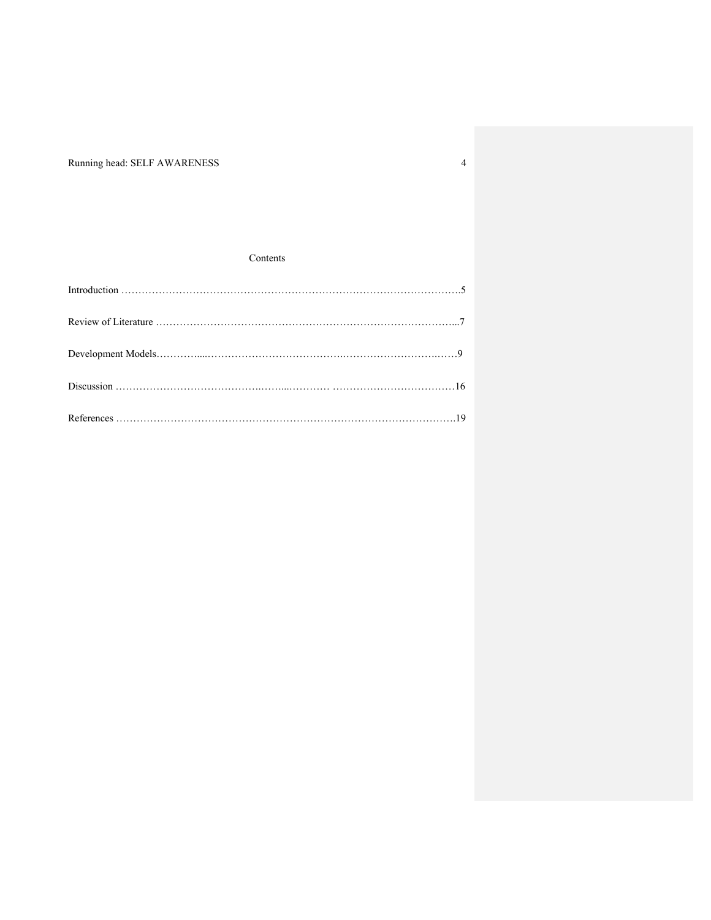## Contents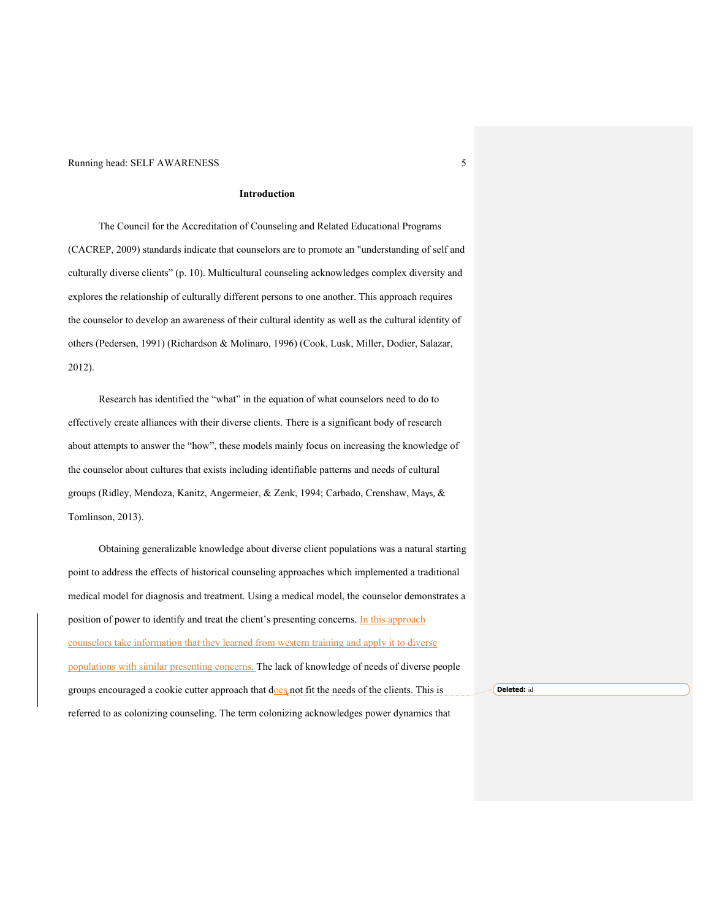## **Introduction**

The Council for the Accreditation of Counseling and Related Educational Programs (CACREP, 2009) standards indicate that counselors are to promote an "understanding of self and culturally diverse clients" (p. 10). Multicultural counseling acknowledges complex diversity and explores the relationship of culturally different persons to one another. This approach requires the counselor to develop an awareness of their cultural identity as well as the cultural identity of others (Pedersen, 1991) (Richardson & Molinaro, 1996) (Cook, Lusk, Miller, Dodier, Salazar, 2012).

Research has identified the "what" in the equation of what counselors need to do to effectively create alliances with their diverse clients. There is a significant body of research about attempts to answer the "how", these models mainly focus on increasing the knowledge of the counselor about cultures that exists including identifiable patterns and needs of cultural groups (Ridley, Mendoza, Kanitz, Angermeier, & Zenk, 1994; Carbado, Crenshaw, Mays, & Tomlinson, 2013).

Obtaining generalizable knowledge about diverse client populations was a natural starting point to address the effects of historical counseling approaches which implemented a traditional medical model for diagnosis and treatment. Using a medical model, the counselor demonstrates a position of power to identify and treat the client's presenting concerns. In this approach counselors take information that they learned from western training and apply it to diverse populations with similar presenting concerns. The lack of knowledge of needs of diverse people groups encouraged a cookie cutter approach that does not fit the needs of the clients. This is referred to as colonizing counseling. The term colonizing acknowledges power dynamics that

**Deleted:** id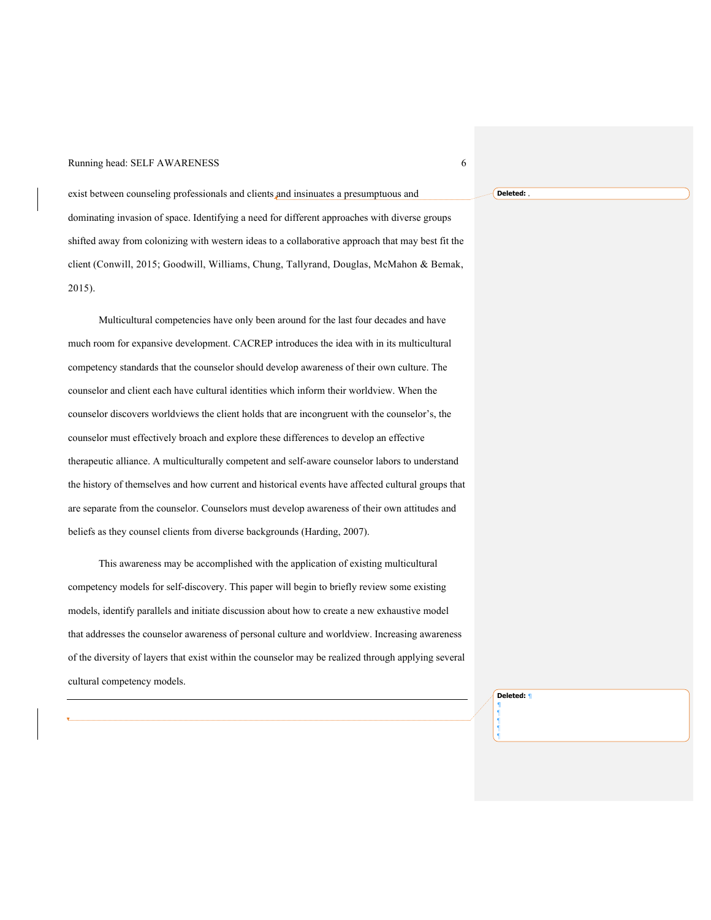exist between counseling professionals and clients and insinuates a presumptuous and dominating invasion of space. Identifying a need for different approaches with diverse groups shifted away from colonizing with western ideas to a collaborative approach that may best fit the client (Conwill, 2015; Goodwill, Williams, Chung, Tallyrand, Douglas, McMahon & Bemak, 2015).

Multicultural competencies have only been around for the last four decades and have much room for expansive development. CACREP introduces the idea with in its multicultural competency standards that the counselor should develop awareness of their own culture. The counselor and client each have cultural identities which inform their worldview. When the counselor discovers worldviews the client holds that are incongruent with the counselor's, the counselor must effectively broach and explore these differences to develop an effective therapeutic alliance. A multiculturally competent and self-aware counselor labors to understand the history of themselves and how current and historical events have affected cultural groups that are separate from the counselor. Counselors must develop awareness of their own attitudes and beliefs as they counsel clients from diverse backgrounds (Harding, 2007).

This awareness may be accomplished with the application of existing multicultural competency models for self-discovery. This paper will begin to briefly review some existing models, identify parallels and initiate discussion about how to create a new exhaustive model that addresses the counselor awareness of personal culture and worldview. Increasing awareness of the diversity of layers that exist within the counselor may be realized through applying several cultural competency models.

> **Deleted:** ¶ ¶

¶ ¶ ¶ ¶

**Deleted:** ,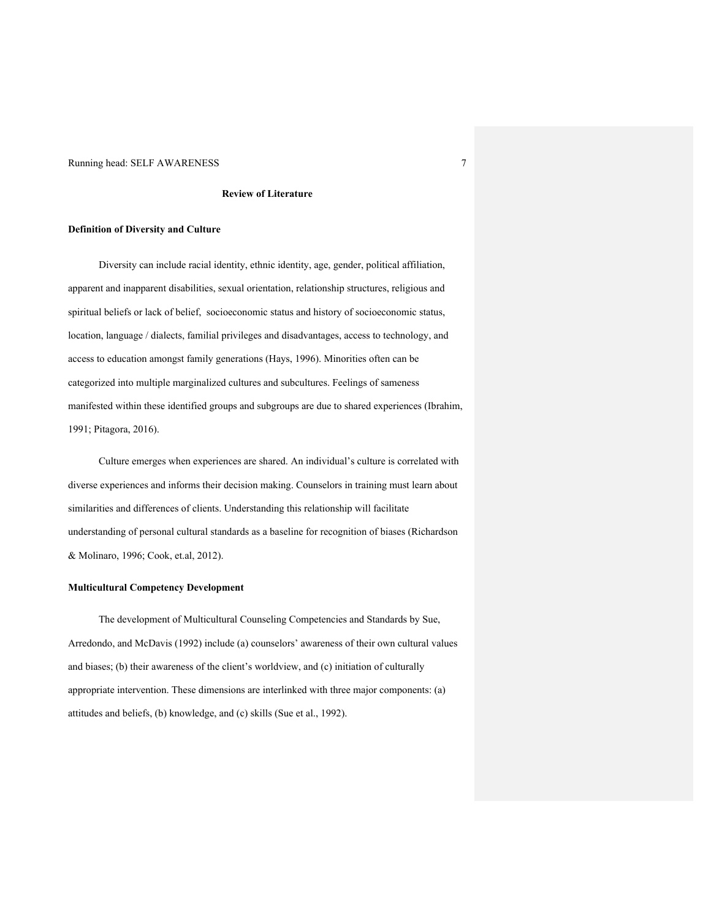### **Review of Literature**

### **Definition of Diversity and Culture**

Diversity can include racial identity, ethnic identity, age, gender, political affiliation, apparent and inapparent disabilities, sexual orientation, relationship structures, religious and spiritual beliefs or lack of belief, socioeconomic status and history of socioeconomic status, location, language / dialects, familial privileges and disadvantages, access to technology, and access to education amongst family generations (Hays, 1996). Minorities often can be categorized into multiple marginalized cultures and subcultures. Feelings of sameness manifested within these identified groups and subgroups are due to shared experiences (Ibrahim, 1991; Pitagora, 2016).

Culture emerges when experiences are shared. An individual's culture is correlated with diverse experiences and informs their decision making. Counselors in training must learn about similarities and differences of clients. Understanding this relationship will facilitate understanding of personal cultural standards as a baseline for recognition of biases (Richardson & Molinaro, 1996; Cook, et.al, 2012).

### **Multicultural Competency Development**

The development of Multicultural Counseling Competencies and Standards by Sue, Arredondo, and McDavis (1992) include (a) counselors' awareness of their own cultural values and biases; (b) their awareness of the client's worldview, and (c) initiation of culturally appropriate intervention. These dimensions are interlinked with three major components: (a) attitudes and beliefs, (b) knowledge, and (c) skills (Sue et al., 1992).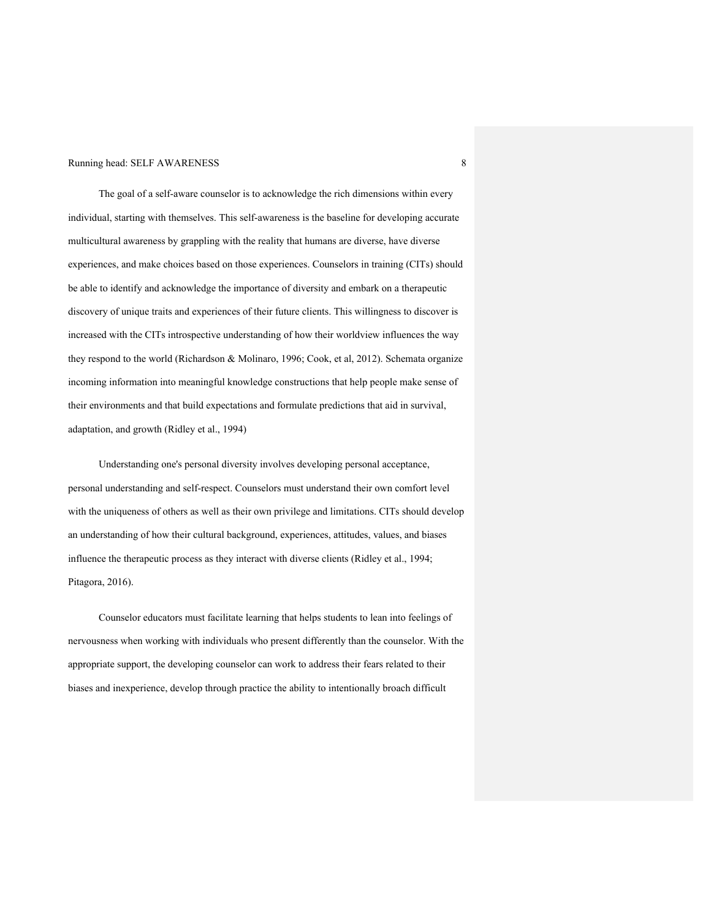The goal of a self-aware counselor is to acknowledge the rich dimensions within every individual, starting with themselves. This self-awareness is the baseline for developing accurate multicultural awareness by grappling with the reality that humans are diverse, have diverse experiences, and make choices based on those experiences. Counselors in training (CITs) should be able to identify and acknowledge the importance of diversity and embark on a therapeutic discovery of unique traits and experiences of their future clients. This willingness to discover is increased with the CITs introspective understanding of how their worldview influences the way they respond to the world (Richardson & Molinaro, 1996; Cook, et al, 2012). Schemata organize incoming information into meaningful knowledge constructions that help people make sense of their environments and that build expectations and formulate predictions that aid in survival, adaptation, and growth (Ridley et al., 1994)

Understanding one's personal diversity involves developing personal acceptance, personal understanding and self-respect. Counselors must understand their own comfort level with the uniqueness of others as well as their own privilege and limitations. CITs should develop an understanding of how their cultural background, experiences, attitudes, values, and biases influence the therapeutic process as they interact with diverse clients (Ridley et al., 1994; Pitagora, 2016).

Counselor educators must facilitate learning that helps students to lean into feelings of nervousness when working with individuals who present differently than the counselor. With the appropriate support, the developing counselor can work to address their fears related to their biases and inexperience, develop through practice the ability to intentionally broach difficult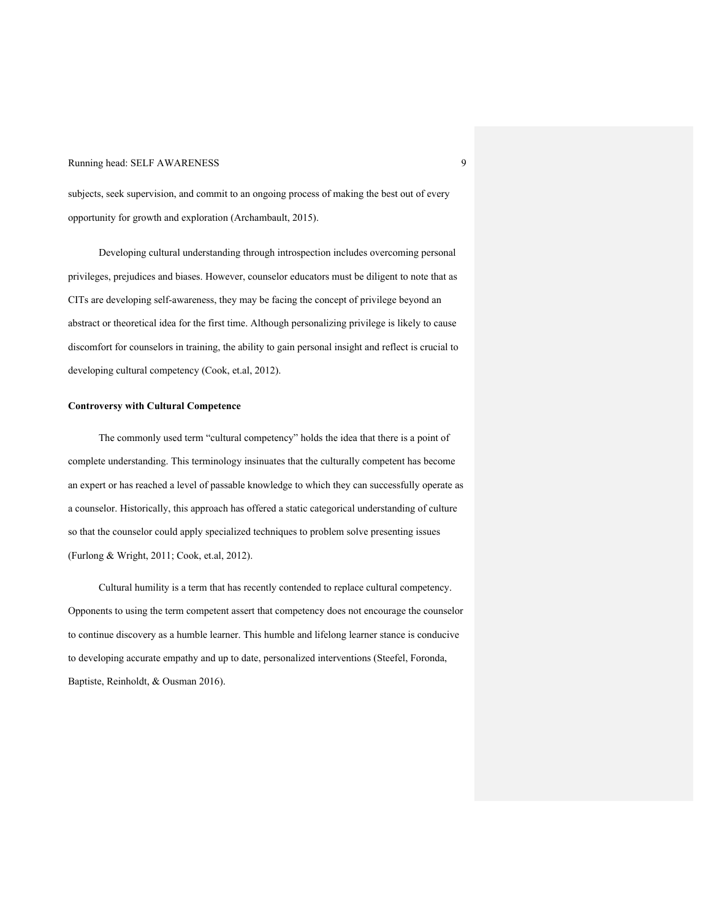subjects, seek supervision, and commit to an ongoing process of making the best out of every opportunity for growth and exploration (Archambault, 2015).

Developing cultural understanding through introspection includes overcoming personal privileges, prejudices and biases. However, counselor educators must be diligent to note that as CITs are developing self-awareness, they may be facing the concept of privilege beyond an abstract or theoretical idea for the first time. Although personalizing privilege is likely to cause discomfort for counselors in training, the ability to gain personal insight and reflect is crucial to developing cultural competency (Cook, et.al, 2012).

## **Controversy with Cultural Competence**

The commonly used term "cultural competency" holds the idea that there is a point of complete understanding. This terminology insinuates that the culturally competent has become an expert or has reached a level of passable knowledge to which they can successfully operate as a counselor. Historically, this approach has offered a static categorical understanding of culture so that the counselor could apply specialized techniques to problem solve presenting issues (Furlong & Wright, 2011; Cook, et.al, 2012).

Cultural humility is a term that has recently contended to replace cultural competency. Opponents to using the term competent assert that competency does not encourage the counselor to continue discovery as a humble learner. This humble and lifelong learner stance is conducive to developing accurate empathy and up to date, personalized interventions (Steefel, Foronda, Baptiste, Reinholdt, & Ousman 2016).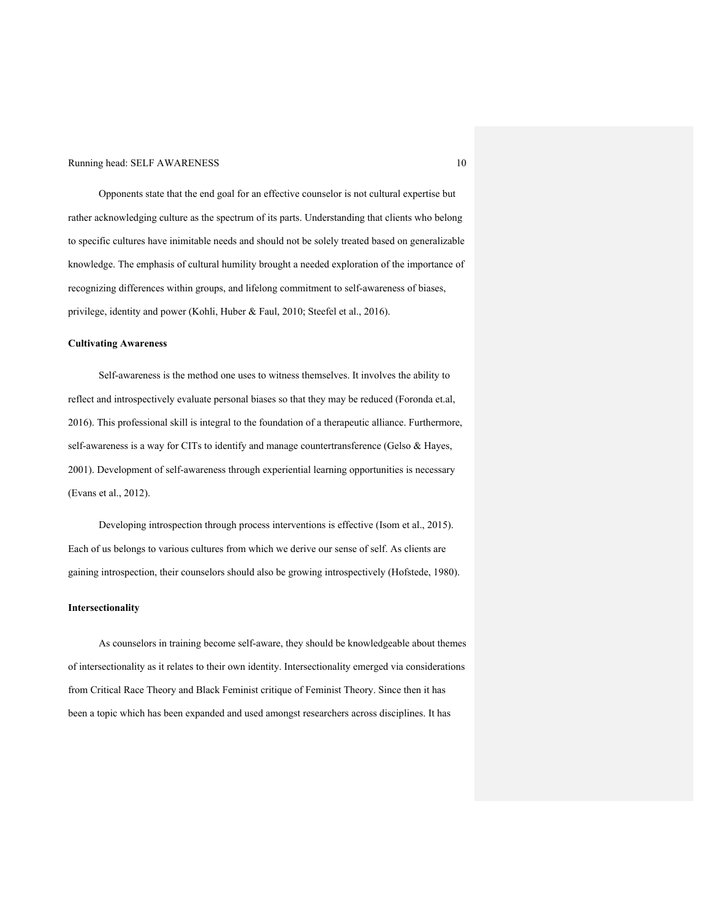Opponents state that the end goal for an effective counselor is not cultural expertise but rather acknowledging culture as the spectrum of its parts. Understanding that clients who belong to specific cultures have inimitable needs and should not be solely treated based on generalizable knowledge. The emphasis of cultural humility brought a needed exploration of the importance of recognizing differences within groups, and lifelong commitment to self-awareness of biases, privilege, identity and power (Kohli, Huber & Faul, 2010; Steefel et al., 2016).

### **Cultivating Awareness**

Self-awareness is the method one uses to witness themselves. It involves the ability to reflect and introspectively evaluate personal biases so that they may be reduced (Foronda et.al, 2016). This professional skill is integral to the foundation of a therapeutic alliance. Furthermore, self-awareness is a way for CITs to identify and manage countertransference (Gelso & Hayes, 2001). Development of self-awareness through experiential learning opportunities is necessary (Evans et al., 2012).

Developing introspection through process interventions is effective (Isom et al., 2015). Each of us belongs to various cultures from which we derive our sense of self. As clients are gaining introspection, their counselors should also be growing introspectively (Hofstede, 1980).

#### **Intersectionality**

As counselors in training become self-aware, they should be knowledgeable about themes of intersectionality as it relates to their own identity. Intersectionality emerged via considerations from Critical Race Theory and Black Feminist critique of Feminist Theory. Since then it has been a topic which has been expanded and used amongst researchers across disciplines. It has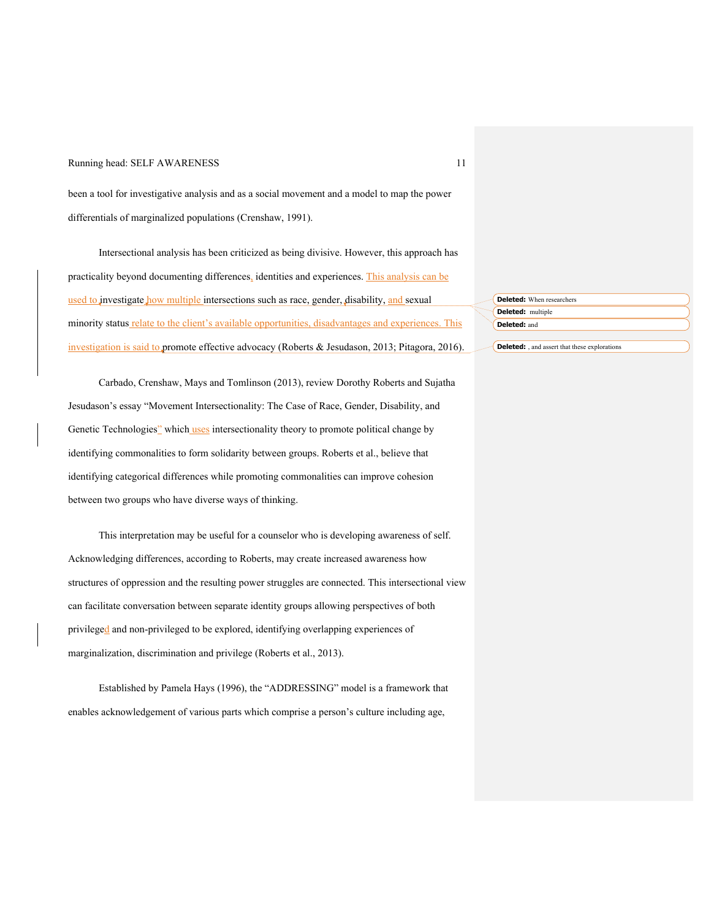been a tool for investigative analysis and as a social movement and a model to map the power differentials of marginalized populations (Crenshaw, 1991).

Intersectional analysis has been criticized as being divisive. However, this approach has practicality beyond documenting differences, identities and experiences. This analysis can be used to investigate how multiple intersections such as race, gender, disability, and sexual minority status relate to the client's available opportunities, disadvantages and experiences. This investigation is said to promote effective advocacy (Roberts & Jesudason, 2013; Pitagora, 2016).

Carbado, Crenshaw, Mays and Tomlinson (2013), review Dorothy Roberts and Sujatha Jesudason's essay "Movement Intersectionality: The Case of Race, Gender, Disability, and Genetic Technologies" which uses intersectionality theory to promote political change by identifying commonalities to form solidarity between groups. Roberts et al., believe that identifying categorical differences while promoting commonalities can improve cohesion between two groups who have diverse ways of thinking.

This interpretation may be useful for a counselor who is developing awareness of self. Acknowledging differences, according to Roberts, may create increased awareness how structures of oppression and the resulting power struggles are connected. This intersectional view can facilitate conversation between separate identity groups allowing perspectives of both privileged and non-privileged to be explored, identifying overlapping experiences of marginalization, discrimination and privilege (Roberts et al., 2013).

Established by Pamela Hays (1996), the "ADDRESSING" model is a framework that enables acknowledgement of various parts which comprise a person's culture including age,

| <b>Deleted:</b> When researchers                     |  |
|------------------------------------------------------|--|
| Deleted: multiple                                    |  |
| Deleted: and                                         |  |
|                                                      |  |
| <b>Deleted:</b> , and assert that these explorations |  |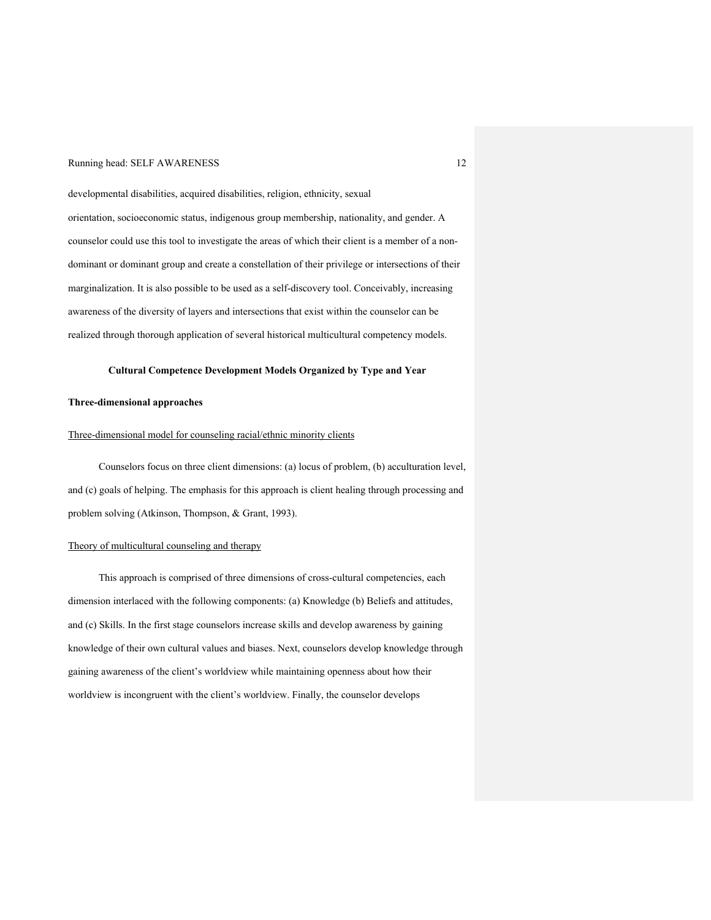developmental disabilities, acquired disabilities, religion, ethnicity, sexual orientation, socioeconomic status, indigenous group membership, nationality, and gender. A counselor could use this tool to investigate the areas of which their client is a member of a nondominant or dominant group and create a constellation of their privilege or intersections of their marginalization. It is also possible to be used as a self-discovery tool. Conceivably, increasing awareness of the diversity of layers and intersections that exist within the counselor can be realized through thorough application of several historical multicultural competency models.

## **Cultural Competence Development Models Organized by Type and Year**

## **Three-dimensional approaches**

#### Three-dimensional model for counseling racial/ethnic minority clients

Counselors focus on three client dimensions: (a) locus of problem, (b) acculturation level, and (c) goals of helping. The emphasis for this approach is client healing through processing and problem solving (Atkinson, Thompson, & Grant, 1993).

#### Theory of multicultural counseling and therapy

This approach is comprised of three dimensions of cross-cultural competencies, each dimension interlaced with the following components: (a) Knowledge (b) Beliefs and attitudes, and (c) Skills. In the first stage counselors increase skills and develop awareness by gaining knowledge of their own cultural values and biases. Next, counselors develop knowledge through gaining awareness of the client's worldview while maintaining openness about how their worldview is incongruent with the client's worldview. Finally, the counselor develops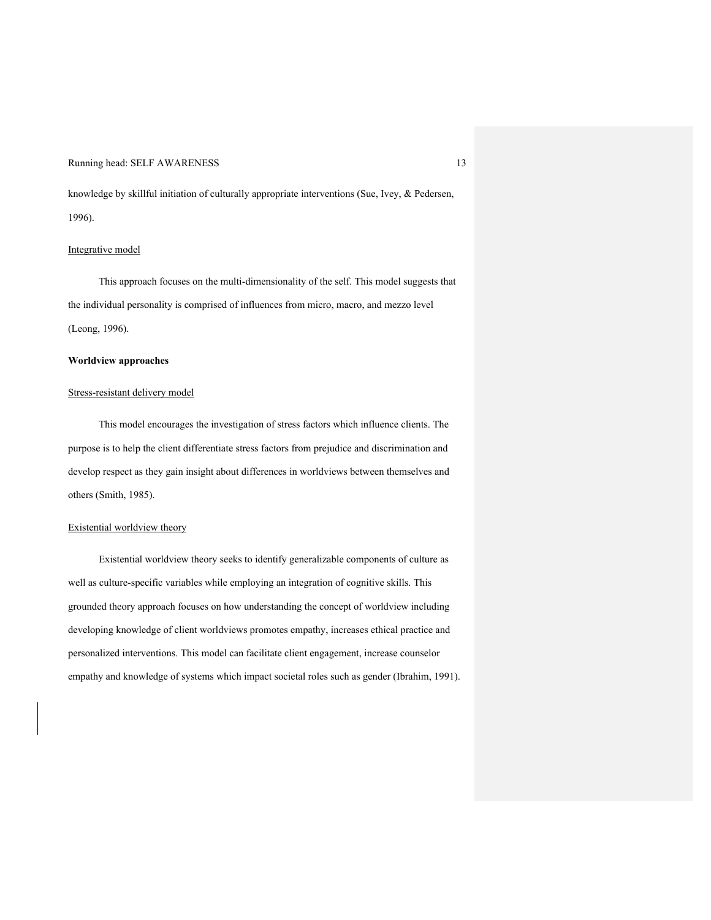knowledge by skillful initiation of culturally appropriate interventions (Sue, Ivey, & Pedersen, 1996).

## Integrative model

This approach focuses on the multi-dimensionality of the self. This model suggests that the individual personality is comprised of influences from micro, macro, and mezzo level (Leong, 1996).

#### **Worldview approaches**

### Stress-resistant delivery model

This model encourages the investigation of stress factors which influence clients. The purpose is to help the client differentiate stress factors from prejudice and discrimination and develop respect as they gain insight about differences in worldviews between themselves and others (Smith, 1985).

#### Existential worldview theory

Existential worldview theory seeks to identify generalizable components of culture as well as culture-specific variables while employing an integration of cognitive skills. This grounded theory approach focuses on how understanding the concept of worldview including developing knowledge of client worldviews promotes empathy, increases ethical practice and personalized interventions. This model can facilitate client engagement, increase counselor empathy and knowledge of systems which impact societal roles such as gender (Ibrahim, 1991).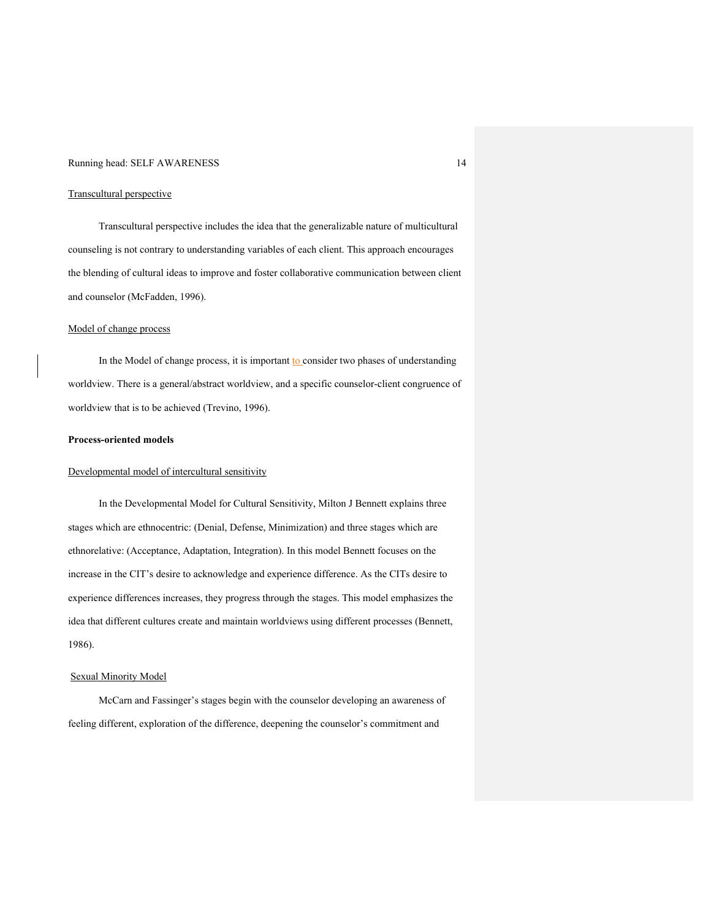#### Transcultural perspective

Transcultural perspective includes the idea that the generalizable nature of multicultural counseling is not contrary to understanding variables of each client. This approach encourages the blending of cultural ideas to improve and foster collaborative communication between client and counselor (McFadden, 1996).

#### Model of change process

In the Model of change process, it is important  $\frac{10}{2}$  consider two phases of understanding worldview. There is a general/abstract worldview, and a specific counselor-client congruence of worldview that is to be achieved (Trevino, 1996).

#### **Process-oriented models**

#### Developmental model of intercultural sensitivity

In the Developmental Model for Cultural Sensitivity, Milton J Bennett explains three stages which are ethnocentric: (Denial, Defense, Minimization) and three stages which are ethnorelative: (Acceptance, Adaptation, Integration). In this model Bennett focuses on the increase in the CIT's desire to acknowledge and experience difference. As the CITs desire to experience differences increases, they progress through the stages. This model emphasizes the idea that different cultures create and maintain worldviews using different processes (Bennett, 1986).

#### Sexual Minority Model

McCarn and Fassinger's stages begin with the counselor developing an awareness of feeling different, exploration of the difference, deepening the counselor's commitment and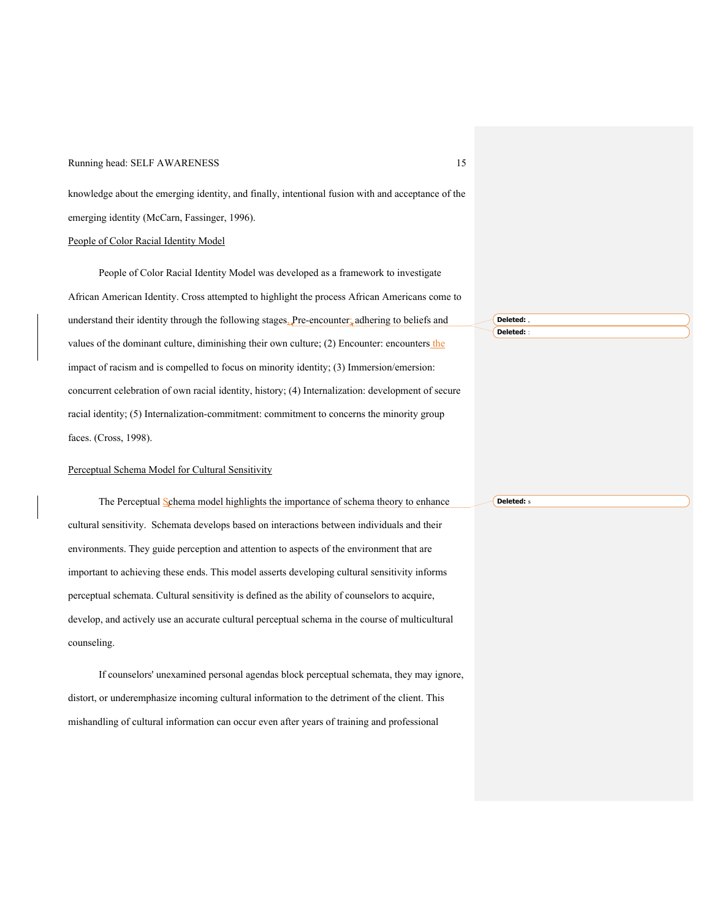knowledge about the emerging identity, and finally, intentional fusion with and acceptance of the emerging identity (McCarn, Fassinger, 1996).

## People of Color Racial Identity Model

People of Color Racial Identity Model was developed as a framework to investigate African American Identity. Cross attempted to highlight the process African Americans come to understand their identity through the following stages, Pre-encounter: adhering to beliefs and values of the dominant culture, diminishing their own culture; (2) Encounter: encounters the impact of racism and is compelled to focus on minority identity; (3) Immersion/emersion: concurrent celebration of own racial identity, history; (4) Internalization: development of secure racial identity; (5) Internalization-commitment: commitment to concerns the minority group faces. (Cross, 1998). **Deleted:** , **Deleted:** :

#### Perceptual Schema Model for Cultural Sensitivity

The Perceptual Schema model highlights the importance of schema theory to enhance cultural sensitivity. Schemata develops based on interactions between individuals and their environments. They guide perception and attention to aspects of the environment that are important to achieving these ends. This model asserts developing cultural sensitivity informs perceptual schemata. Cultural sensitivity is defined as the ability of counselors to acquire, develop, and actively use an accurate cultural perceptual schema in the course of multicultural counseling. **Deleted:** s

If counselors' unexamined personal agendas block perceptual schemata, they may ignore, distort, or underemphasize incoming cultural information to the detriment of the client. This mishandling of cultural information can occur even after years of training and professional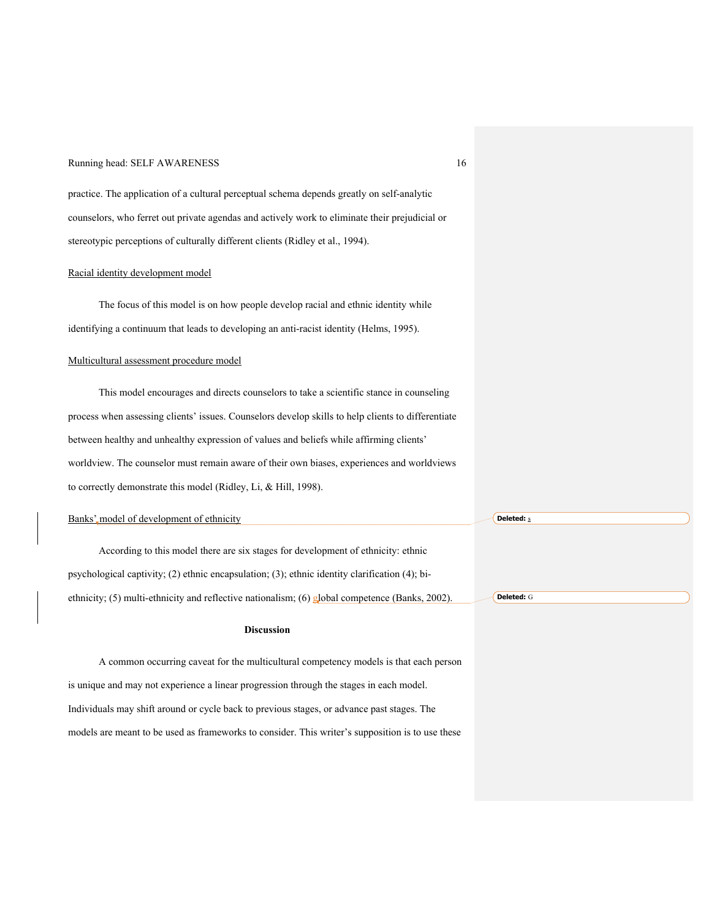practice. The application of a cultural perceptual schema depends greatly on self-analytic counselors, who ferret out private agendas and actively work to eliminate their prejudicial or stereotypic perceptions of culturally different clients (Ridley et al., 1994).

#### Racial identity development model

The focus of this model is on how people develop racial and ethnic identity while identifying a continuum that leads to developing an anti-racist identity (Helms, 1995).

#### Multicultural assessment procedure model

This model encourages and directs counselors to take a scientific stance in counseling process when assessing clients' issues. Counselors develop skills to help clients to differentiate between healthy and unhealthy expression of values and beliefs while affirming clients' worldview. The counselor must remain aware of their own biases, experiences and worldviews to correctly demonstrate this model (Ridley, Li, & Hill, 1998).

| Banks' model of development of ethnicity                                                        | <b>Deleted:</b> s |
|-------------------------------------------------------------------------------------------------|-------------------|
| According to this model there are six stages for development of ethnicity: ethnic               |                   |
| psychological captivity; (2) ethnic encapsulation; (3); ethnic identity clarification (4); bi-  |                   |
| ethnicity; (5) multi-ethnicity and reflective nationalism; (6) global competence (Banks, 2002). | Deleted: G        |
| <b>Discussion</b>                                                                               |                   |
| A common occurring caveat for the multicultural competency models is that each person           |                   |

is unique and may not experience a linear progression through the stages in each model. Individuals may shift around or cycle back to previous stages, or advance past stages. The models are meant to be used as frameworks to consider. This writer's supposition is to use these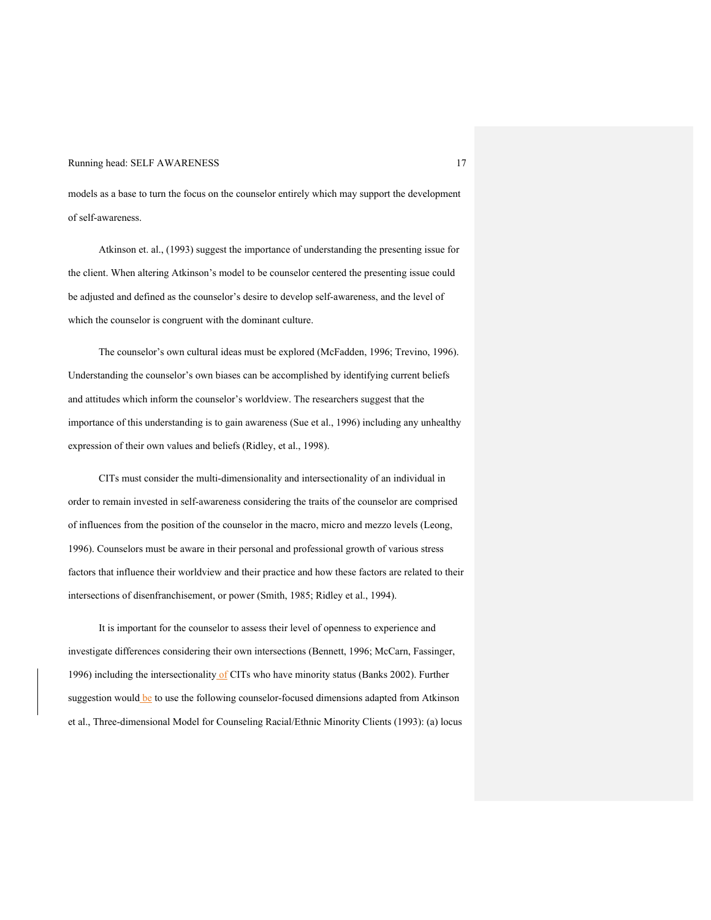models as a base to turn the focus on the counselor entirely which may support the development of self-awareness.

Atkinson et. al., (1993) suggest the importance of understanding the presenting issue for the client. When altering Atkinson's model to be counselor centered the presenting issue could be adjusted and defined as the counselor's desire to develop self-awareness, and the level of which the counselor is congruent with the dominant culture.

The counselor's own cultural ideas must be explored (McFadden, 1996; Trevino, 1996). Understanding the counselor's own biases can be accomplished by identifying current beliefs and attitudes which inform the counselor's worldview. The researchers suggest that the importance of this understanding is to gain awareness (Sue et al., 1996) including any unhealthy expression of their own values and beliefs (Ridley, et al., 1998).

CITs must consider the multi-dimensionality and intersectionality of an individual in order to remain invested in self-awareness considering the traits of the counselor are comprised of influences from the position of the counselor in the macro, micro and mezzo levels (Leong, 1996). Counselors must be aware in their personal and professional growth of various stress factors that influence their worldview and their practice and how these factors are related to their intersections of disenfranchisement, or power (Smith, 1985; Ridley et al., 1994).

It is important for the counselor to assess their level of openness to experience and investigate differences considering their own intersections (Bennett, 1996; McCarn, Fassinger, 1996) including the intersectionality of CITs who have minority status (Banks 2002). Further suggestion would be to use the following counselor-focused dimensions adapted from Atkinson et al., Three-dimensional Model for Counseling Racial/Ethnic Minority Clients (1993): (a) locus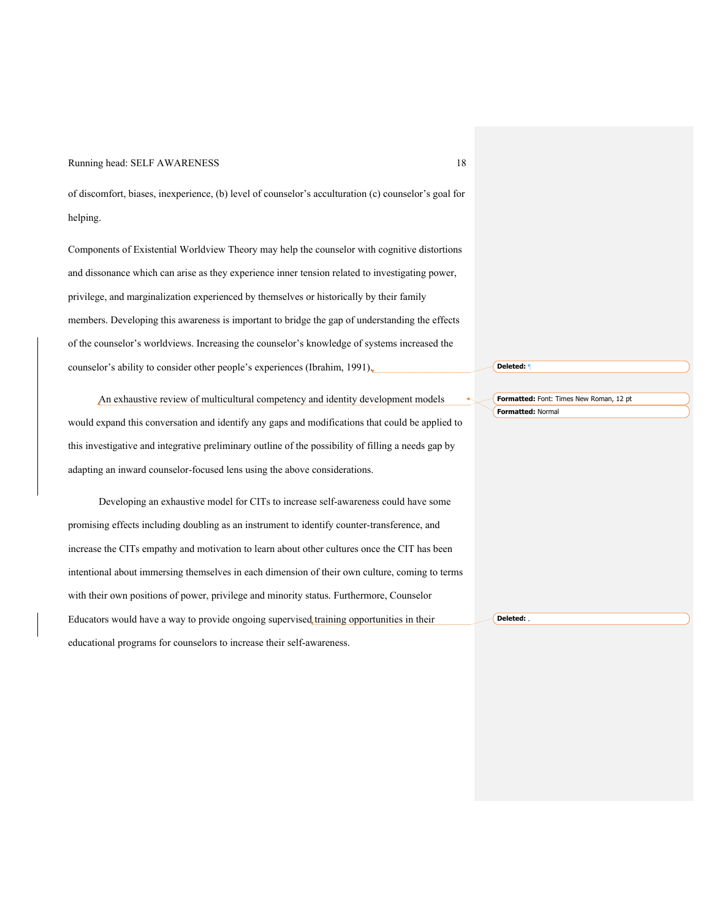of discomfort, biases, inexperience, (b) level of counselor's acculturation (c) counselor's goal for helping.

Components of Existential Worldview Theory may help the counselor with cognitive distortions and dissonance which can arise as they experience inner tension related to investigating power, privilege, and marginalization experienced by themselves or historically by their family members. Developing this awareness is important to bridge the gap of understanding the effects of the counselor's worldviews. Increasing the counselor's knowledge of systems increased the counselor's ability to consider other people's experiences (Ibrahim, 1991).

An exhaustive review of multicultural competency and identity development models would expand this conversation and identify any gaps and modifications that could be applied to this investigative and integrative preliminary outline of the possibility of filling a needs gap by adapting an inward counselor-focused lens using the above considerations.

Developing an exhaustive model for CITs to increase self-awareness could have some promising effects including doubling as an instrument to identify counter-transference, and increase the CITs empathy and motivation to learn about other cultures once the CIT has been intentional about immersing themselves in each dimension of their own culture, coming to terms with their own positions of power, privilege and minority status. Furthermore, Counselor Educators would have a way to provide ongoing supervised training opportunities in their educational programs for counselors to increase their self-awareness. **Deleted:** ,

**Deleted:** ¶

**Formatted:** Normal

**Formatted:** Font: Times New Roman, 12 pt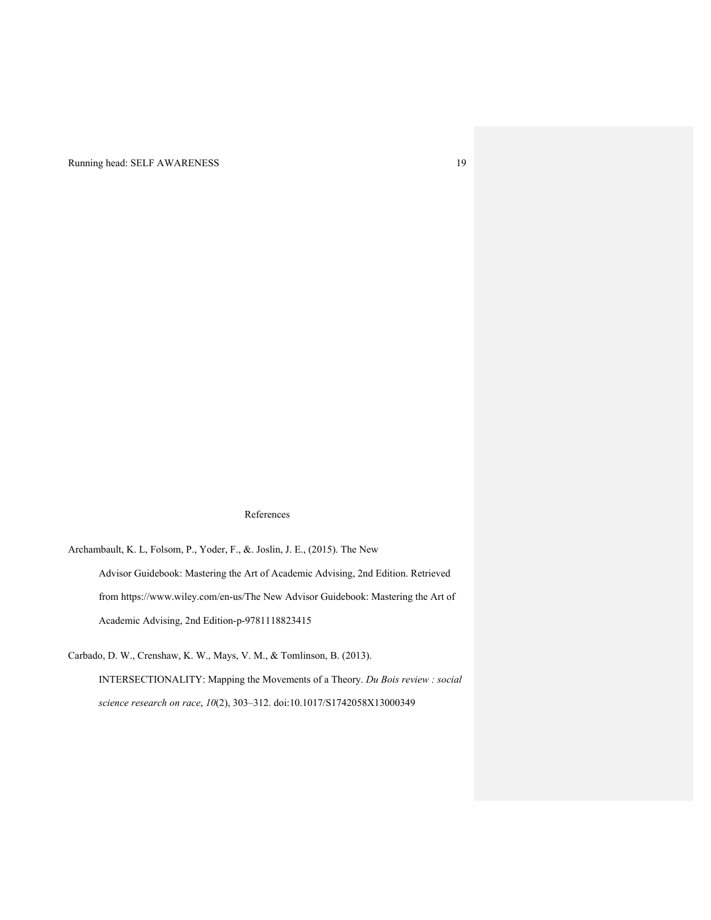#### References

Archambault, K. L, Folsom, P., Yoder, F., &. Joslin, J. E., (2015). The New Advisor Guidebook: Mastering the Art of Academic Advising, 2nd Edition. Retrieved from https://www.wiley.com/en-us/The New Advisor Guidebook: Mastering the Art of Academic Advising, 2nd Edition-p-9781118823415

Carbado, D. W., Crenshaw, K. W., Mays, V. M., & Tomlinson, B. (2013). INTERSECTIONALITY: Mapping the Movements of a Theory. *Du Bois review : social science research on race*, *10*(2), 303–312. doi:10.1017/S1742058X13000349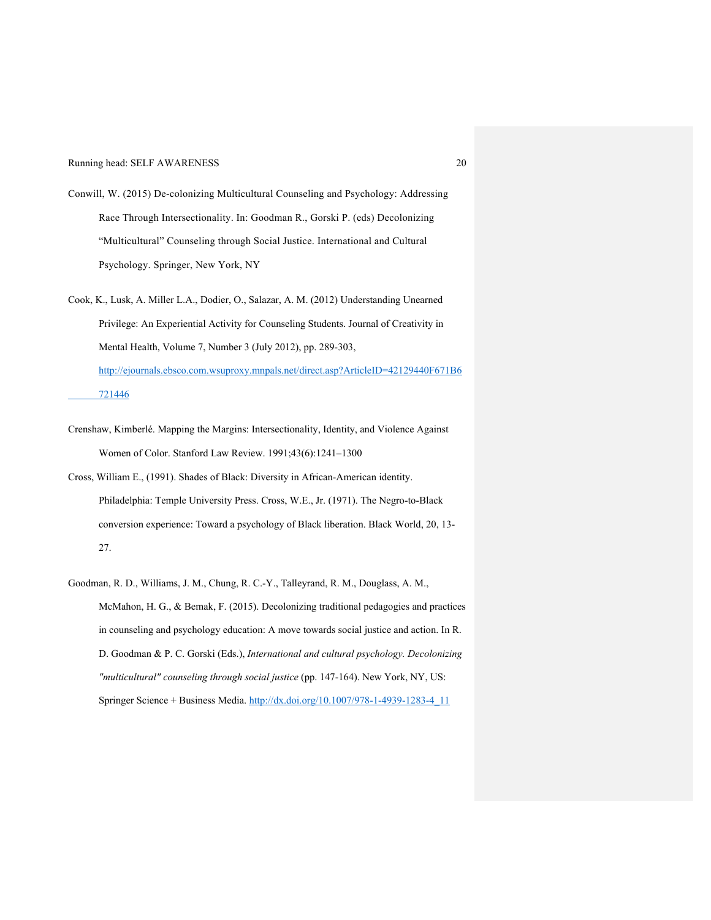- Conwill, W. (2015) De-colonizing Multicultural Counseling and Psychology: Addressing Race Through Intersectionality. In: Goodman R., Gorski P. (eds) Decolonizing "Multicultural" Counseling through Social Justice. International and Cultural Psychology. Springer, New York, NY
- Cook, K., Lusk, A. Miller L.A., Dodier, O., Salazar, A. M. (2012) Understanding Unearned Privilege: An Experiential Activity for Counseling Students. Journal of Creativity in Mental Health, Volume 7, Number 3 (July 2012), pp. 289-303, http://ejournals.ebsco.com.wsuproxy.mnpals.net/direct.asp?ArticleID=42129440F671B6 721446
- Crenshaw, Kimberlé. Mapping the Margins: Intersectionality, Identity, and Violence Against Women of Color. Stanford Law Review. 1991;43(6):1241–1300
- Cross, William E., (1991). Shades of Black: Diversity in African-American identity. Philadelphia: Temple University Press. Cross, W.E., Jr. (1971). The Negro-to-Black conversion experience: Toward a psychology of Black liberation. Black World, 20, 13- 27.
- Goodman, R. D., Williams, J. M., Chung, R. C.-Y., Talleyrand, R. M., Douglass, A. M., McMahon, H. G., & Bemak, F. (2015). Decolonizing traditional pedagogies and practices in counseling and psychology education: A move towards social justice and action. In R. D. Goodman & P. C. Gorski (Eds.), *International and cultural psychology. Decolonizing "multicultural" counseling through social justice* (pp. 147-164). New York, NY, US: Springer Science + Business Media. http://dx.doi.org/10.1007/978-1-4939-1283-4\_11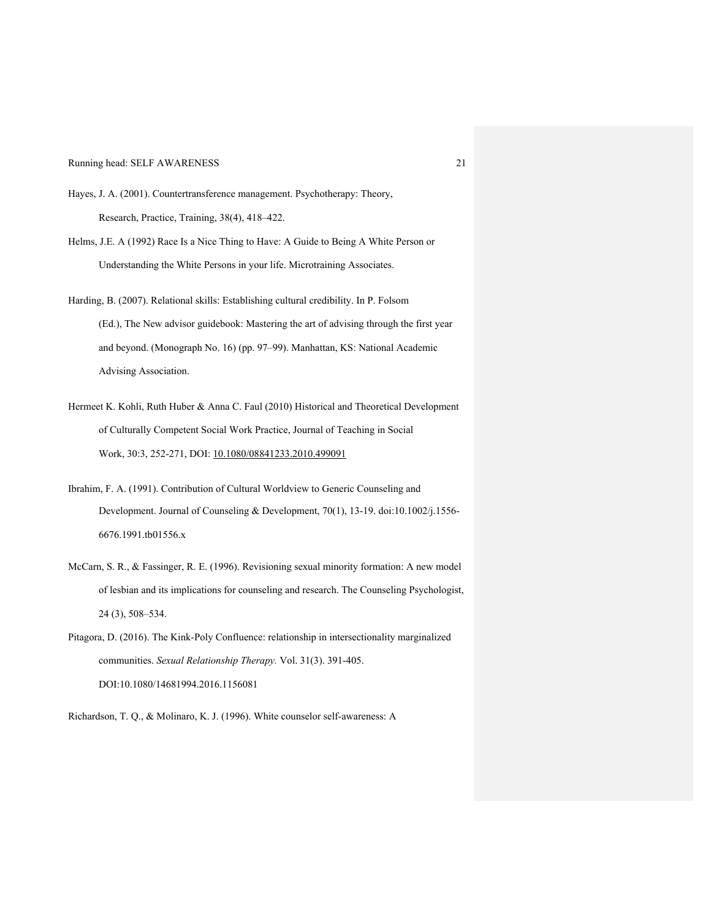- Hayes, J. A. (2001). Countertransference management. Psychotherapy: Theory, Research, Practice, Training, 38(4), 418–422.
- Helms, J.E. A (1992) Race Is a Nice Thing to Have: A Guide to Being A White Person or Understanding the White Persons in your life. Microtraining Associates.
- Harding, B. (2007). Relational skills: Establishing cultural credibility. In P. Folsom (Ed.), The New advisor guidebook: Mastering the art of advising through the first year and beyond. (Monograph No. 16) (pp. 97–99). Manhattan, KS: National Academic Advising Association.
- Hermeet K. Kohli, Ruth Huber & Anna C. Faul (2010) Historical and Theoretical Development of Culturally Competent Social Work Practice, Journal of Teaching in Social Work, 30:3, 252-271, DOI: 10.1080/08841233.2010.499091
- Ibrahim, F. A. (1991). Contribution of Cultural Worldview to Generic Counseling and Development. Journal of Counseling & Development, 70(1), 13-19. doi:10.1002/j.1556- 6676.1991.tb01556.x
- McCarn, S. R., & Fassinger, R. E. (1996). Revisioning sexual minority formation: A new model of lesbian and its implications for counseling and research. The Counseling Psychologist, 24 (3), 508–534.
- Pitagora, D. (2016). The Kink-Poly Confluence: relationship in intersectionality marginalized communities. *Sexual Relationship Therapy.* Vol. 31(3). 391-405. DOI:10.1080/14681994.2016.1156081

Richardson, T. Q., & Molinaro, K. J. (1996). White counselor self-awareness: A